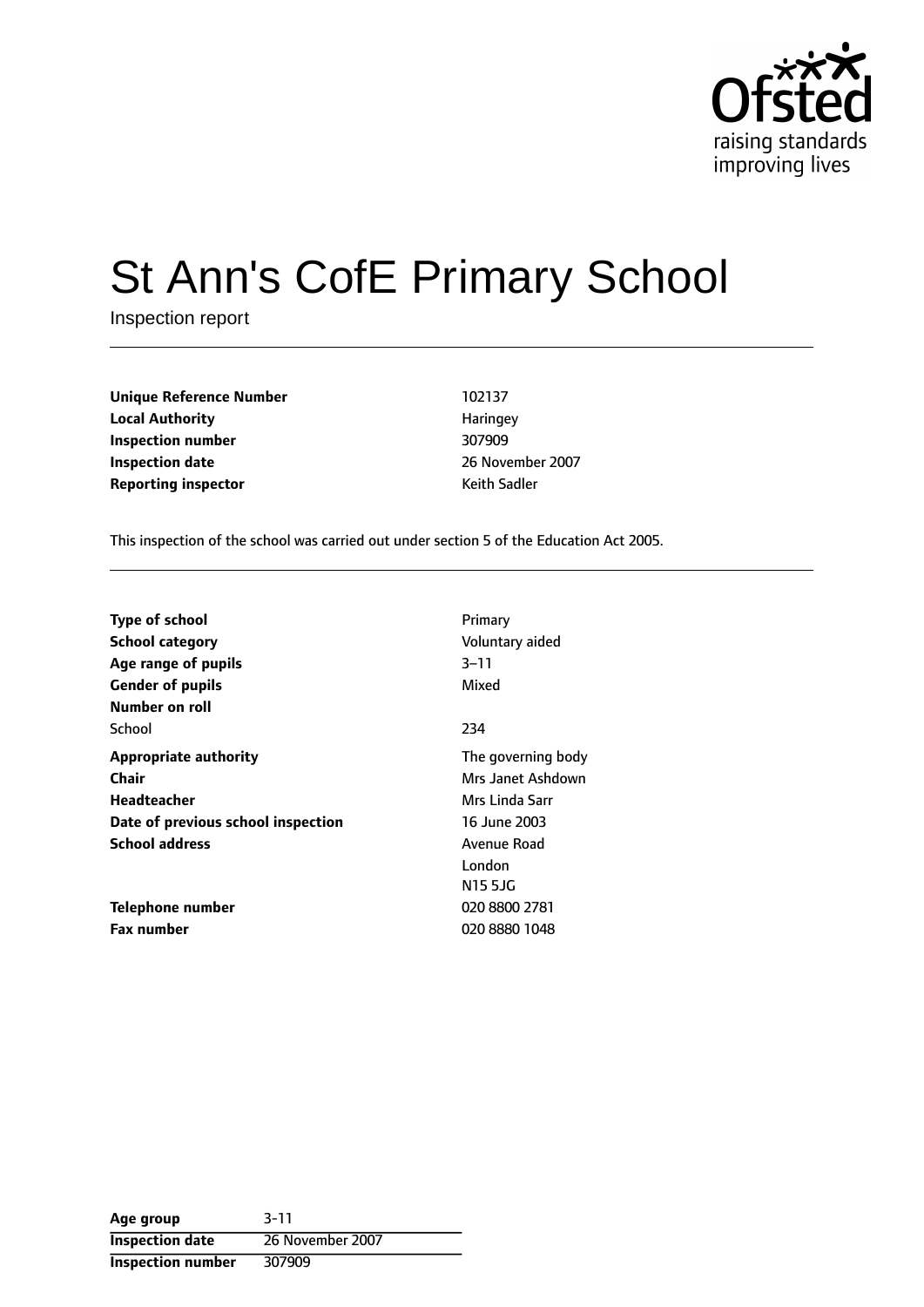

# St Ann's CofE Primary School

Inspection report

| <b>Unique Reference Number</b> | 102137       |
|--------------------------------|--------------|
| <b>Local Authority</b>         | Haringey     |
| Inspection number              | 307909       |
| <b>Inspection date</b>         | 26 Novembe   |
| <b>Reporting inspector</b>     | Keith Sadler |

**Local Authority** Haringey **Inspection number** 307909 **Inspection date** 26 November 2007

This inspection of the school was carried out under section 5 of the Education Act 2005.

| <b>Type of school</b><br><b>School category</b><br>Age range of pupils<br><b>Gender of pupils</b> | Primary<br>Voluntary aided<br>$3 - 11$<br>Mixed |
|---------------------------------------------------------------------------------------------------|-------------------------------------------------|
| Number on roll                                                                                    |                                                 |
| School                                                                                            | 234                                             |
| <b>Appropriate authority</b>                                                                      | The governing body                              |
| Chair                                                                                             | Mrs Janet Ashdown                               |
| Headteacher                                                                                       | Mrs Linda Sarr                                  |
| Date of previous school inspection                                                                | 16 June 2003                                    |
| <b>School address</b>                                                                             | Avenue Road                                     |
|                                                                                                   | London                                          |
|                                                                                                   | N15 5JG                                         |
| Telephone number                                                                                  | 020 8800 2781                                   |
| <b>Fax number</b>                                                                                 | 020 8880 1048                                   |

| Age group                | $3 - 11$         |
|--------------------------|------------------|
| <b>Inspection date</b>   | 26 November 2007 |
| <b>Inspection number</b> | 307909           |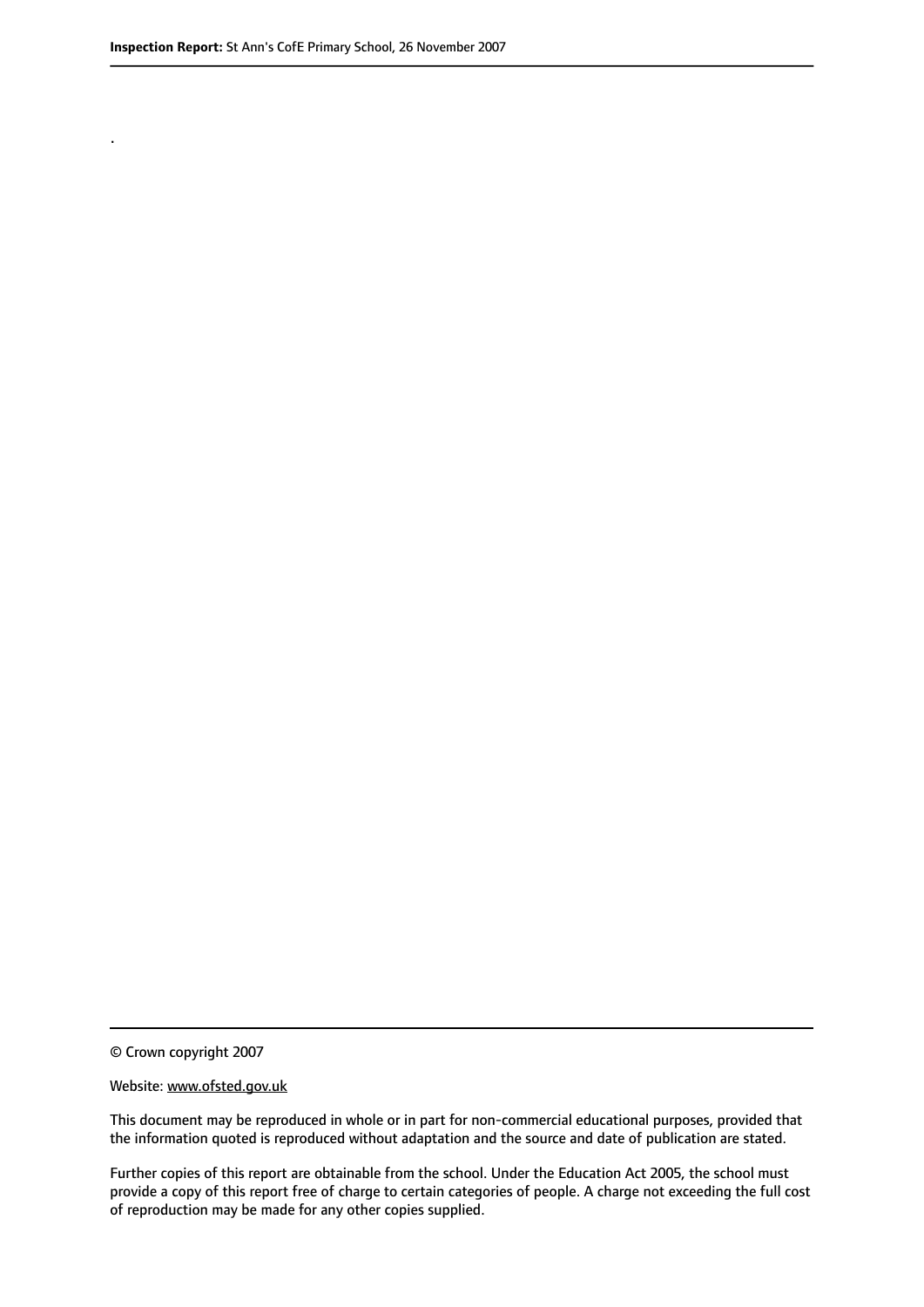.

© Crown copyright 2007

#### Website: www.ofsted.gov.uk

This document may be reproduced in whole or in part for non-commercial educational purposes, provided that the information quoted is reproduced without adaptation and the source and date of publication are stated.

Further copies of this report are obtainable from the school. Under the Education Act 2005, the school must provide a copy of this report free of charge to certain categories of people. A charge not exceeding the full cost of reproduction may be made for any other copies supplied.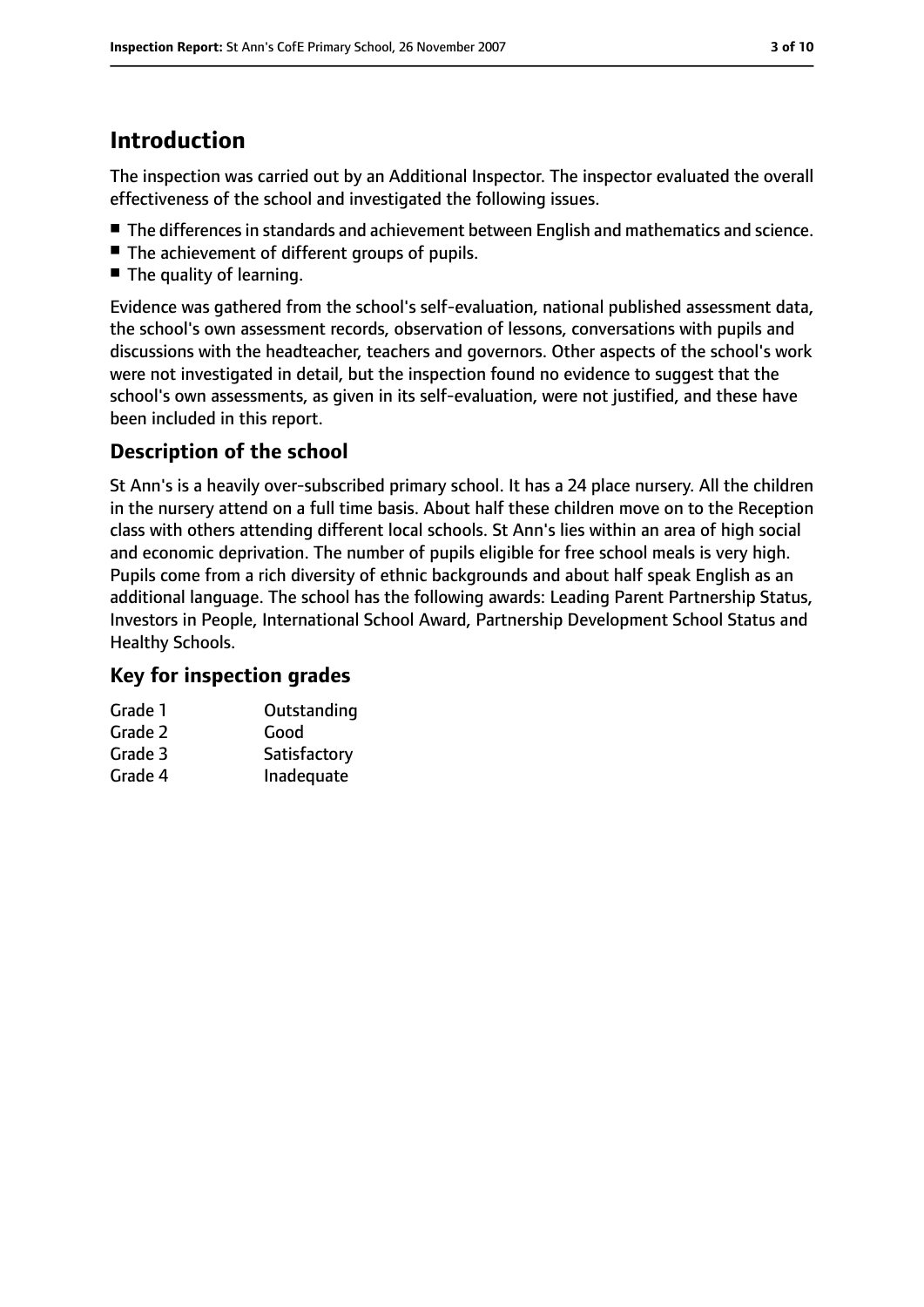# **Introduction**

The inspection was carried out by an Additional Inspector. The inspector evaluated the overall effectiveness of the school and investigated the following issues.

- The differences in standards and achievement between English and mathematics and science.
- The achievement of different groups of pupils.
- The quality of learning.

Evidence was gathered from the school's self-evaluation, national published assessment data, the school's own assessment records, observation of lessons, conversations with pupils and discussions with the headteacher, teachers and governors. Other aspects of the school's work were not investigated in detail, but the inspection found no evidence to suggest that the school's own assessments, as given in its self-evaluation, were not justified, and these have been included in this report.

## **Description of the school**

St Ann's is a heavily over-subscribed primary school. It has a 24 place nursery. All the children in the nursery attend on a full time basis. About half these children move on to the Reception class with others attending different local schools. St Ann's lies within an area of high social and economic deprivation. The number of pupils eligible for free school meals is very high. Pupils come from a rich diversity of ethnic backgrounds and about half speak English as an additional language. The school has the following awards: Leading Parent Partnership Status, Investors in People, International School Award, Partnership Development School Status and Healthy Schools.

#### **Key for inspection grades**

| Grade 1 | Outstanding  |
|---------|--------------|
| Grade 2 | Good         |
| Grade 3 | Satisfactory |
| Grade 4 | Inadequate   |
|         |              |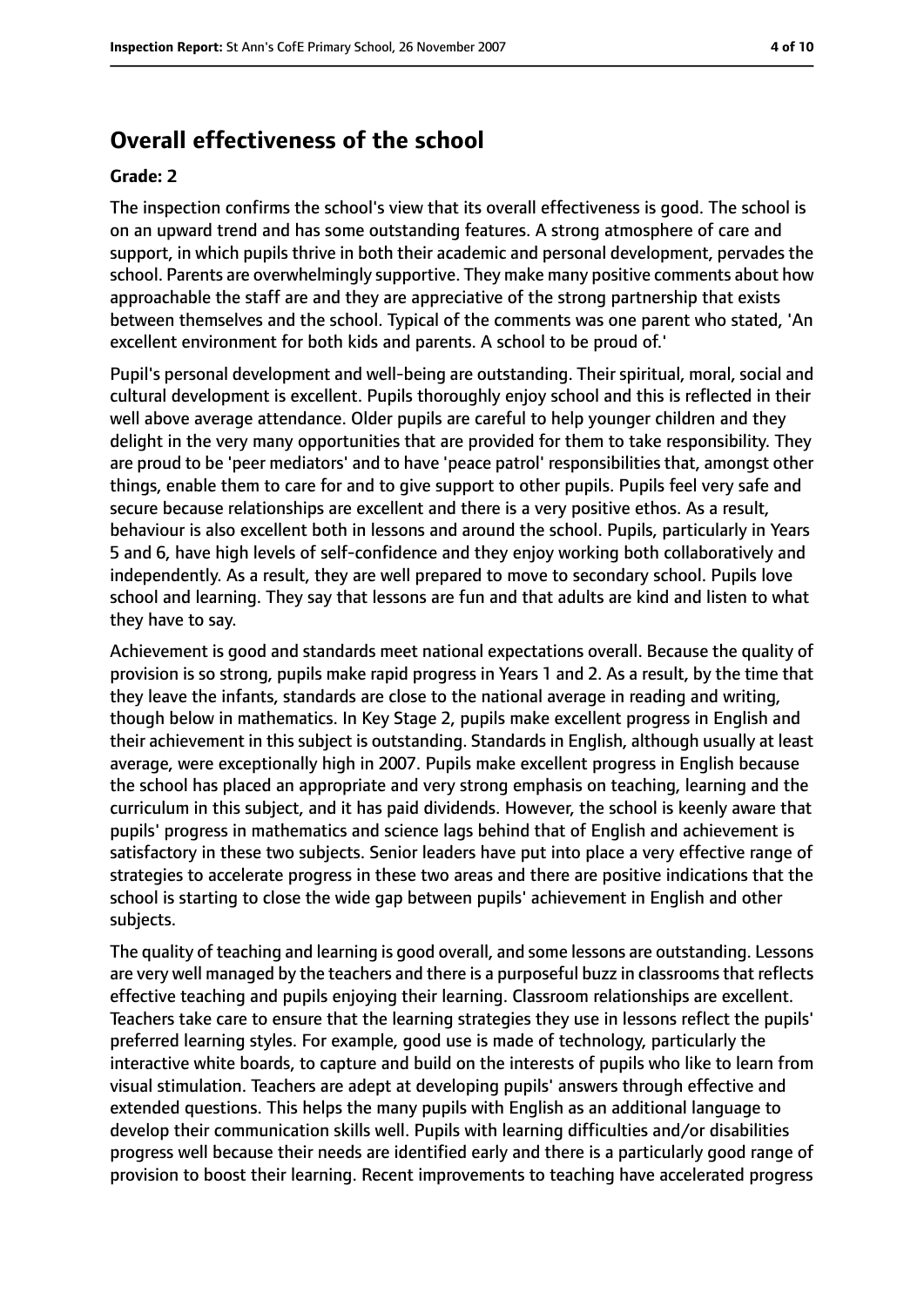## **Overall effectiveness of the school**

#### **Grade: 2**

The inspection confirms the school's view that its overall effectiveness is good. The school is on an upward trend and has some outstanding features. A strong atmosphere of care and support, in which pupils thrive in both their academic and personal development, pervades the school. Parents are overwhelmingly supportive. They make many positive comments about how approachable the staff are and they are appreciative of the strong partnership that exists between themselves and the school. Typical of the comments was one parent who stated, 'An excellent environment for both kids and parents. A school to be proud of.'

Pupil's personal development and well-being are outstanding. Their spiritual, moral, social and cultural development is excellent. Pupils thoroughly enjoy school and this is reflected in their well above average attendance. Older pupils are careful to help younger children and they delight in the very many opportunities that are provided for them to take responsibility. They are proud to be 'peer mediators' and to have 'peace patrol' responsibilities that, amongst other things, enable them to care for and to give support to other pupils. Pupils feel very safe and secure because relationships are excellent and there is a very positive ethos. As a result, behaviour is also excellent both in lessons and around the school. Pupils, particularly in Years 5 and 6, have high levels of self-confidence and they enjoy working both collaboratively and independently. As a result, they are well prepared to move to secondary school. Pupils love school and learning. They say that lessons are fun and that adults are kind and listen to what they have to say.

Achievement is good and standards meet national expectations overall. Because the quality of provision is so strong, pupils make rapid progress in Years 1 and 2. As a result, by the time that they leave the infants, standards are close to the national average in reading and writing, though below in mathematics. In Key Stage 2, pupils make excellent progress in English and their achievement in this subject is outstanding. Standards in English, although usually at least average, were exceptionally high in 2007. Pupils make excellent progress in English because the school has placed an appropriate and very strong emphasis on teaching, learning and the curriculum in this subject, and it has paid dividends. However, the school is keenly aware that pupils' progress in mathematics and science lags behind that of English and achievement is satisfactory in these two subjects. Senior leaders have put into place a very effective range of strategies to accelerate progress in these two areas and there are positive indications that the school is starting to close the wide gap between pupils' achievement in English and other subjects.

The quality of teaching and learning is good overall, and some lessons are outstanding. Lessons are very well managed by the teachers and there is a purposeful buzz in classroomsthat reflects effective teaching and pupils enjoying their learning. Classroom relationships are excellent. Teachers take care to ensure that the learning strategies they use in lessons reflect the pupils' preferred learning styles. For example, good use is made of technology, particularly the interactive white boards, to capture and build on the interests of pupils who like to learn from visual stimulation. Teachers are adept at developing pupils' answers through effective and extended questions. This helps the many pupils with English as an additional language to develop their communication skills well. Pupils with learning difficulties and/or disabilities progress well because their needs are identified early and there is a particularly good range of provision to boost their learning. Recent improvements to teaching have accelerated progress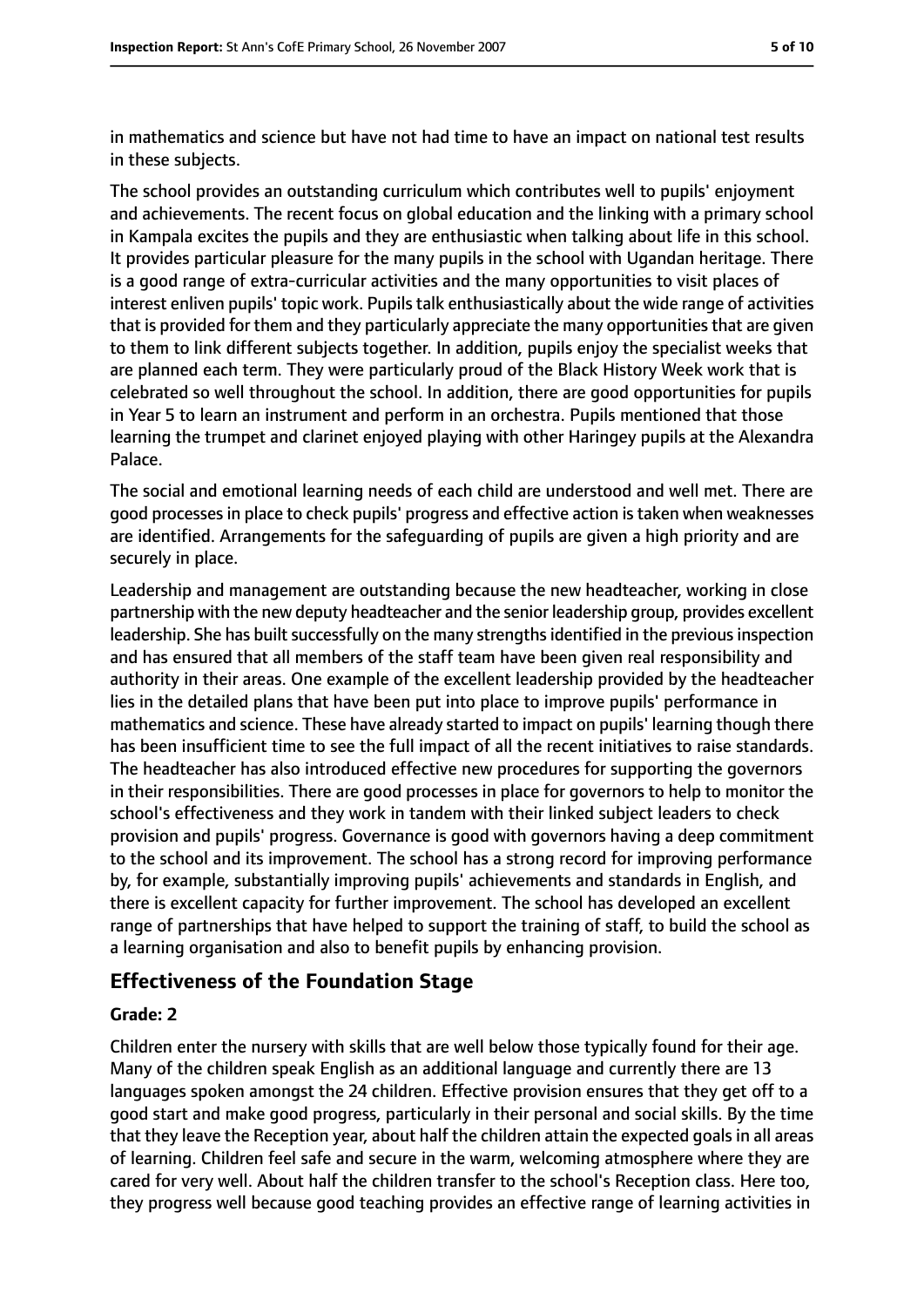in mathematics and science but have not had time to have an impact on national test results in these subjects.

The school provides an outstanding curriculum which contributes well to pupils' enjoyment and achievements. The recent focus on global education and the linking with a primary school in Kampala excites the pupils and they are enthusiastic when talking about life in this school. It provides particular pleasure for the many pupils in the school with Ugandan heritage. There is a good range of extra-curricular activities and the many opportunities to visit places of interest enliven pupils' topic work. Pupils talk enthusiastically about the wide range of activities that is provided for them and they particularly appreciate the many opportunities that are given to them to link different subjects together. In addition, pupils enjoy the specialist weeks that are planned each term. They were particularly proud of the Black History Week work that is celebrated so well throughout the school. In addition, there are good opportunities for pupils in Year 5 to learn an instrument and perform in an orchestra. Pupils mentioned that those learning the trumpet and clarinet enjoyed playing with other Haringey pupils at the Alexandra Palace.

The social and emotional learning needs of each child are understood and well met. There are good processesin place to check pupils' progress and effective action istaken when weaknesses are identified. Arrangements for the safeguarding of pupils are given a high priority and are securely in place.

Leadership and management are outstanding because the new headteacher, working in close partnership with the new deputy headteacher and the senior leadership group, provides excellent leadership. She has built successfully on the many strengths identified in the previous inspection and has ensured that all members of the staff team have been given real responsibility and authority in their areas. One example of the excellent leadership provided by the headteacher lies in the detailed plans that have been put into place to improve pupils' performance in mathematics and science. These have already started to impact on pupils' learning though there has been insufficient time to see the full impact of all the recent initiatives to raise standards. The headteacher has also introduced effective new procedures for supporting the governors in their responsibilities. There are good processes in place for governors to help to monitor the school's effectiveness and they work in tandem with their linked subject leaders to check provision and pupils' progress. Governance is good with governors having a deep commitment to the school and its improvement. The school has a strong record for improving performance by, for example, substantially improving pupils' achievements and standards in English, and there is excellent capacity for further improvement. The school has developed an excellent range of partnerships that have helped to support the training of staff, to build the school as a learning organisation and also to benefit pupils by enhancing provision.

#### **Effectiveness of the Foundation Stage**

#### **Grade: 2**

Children enter the nursery with skills that are well below those typically found for their age. Many of the children speak English as an additional language and currently there are 13 languages spoken amongst the 24 children. Effective provision ensures that they get off to a good start and make good progress, particularly in their personal and social skills. By the time that they leave the Reception year, about half the children attain the expected goals in all areas of learning. Children feel safe and secure in the warm, welcoming atmosphere where they are cared for very well. About half the children transfer to the school's Reception class. Here too, they progress well because good teaching provides an effective range of learning activities in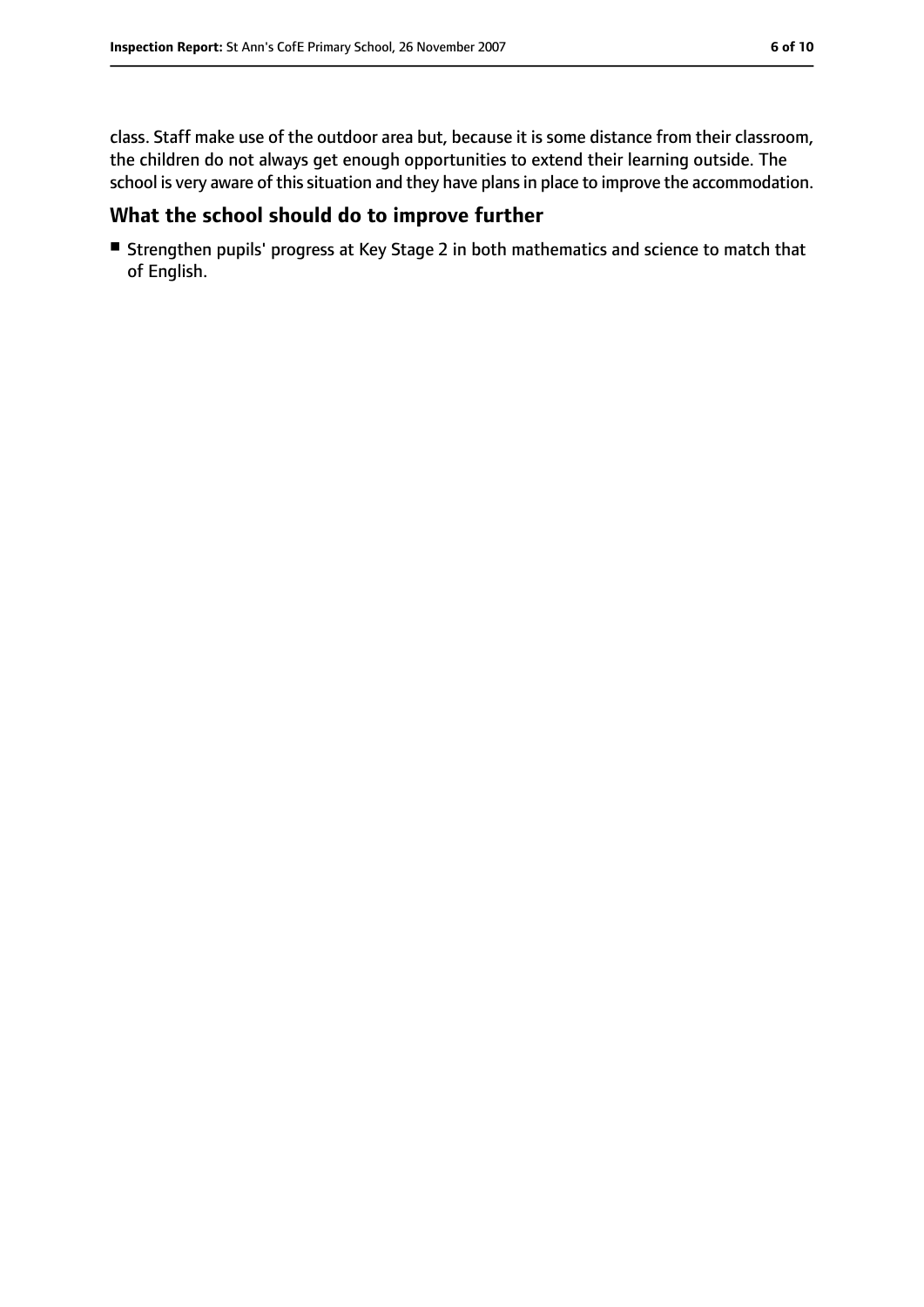class. Staff make use of the outdoor area but, because it is some distance from their classroom, the children do not always get enough opportunities to extend their learning outside. The school is very aware of this situation and they have plans in place to improve the accommodation.

#### **What the school should do to improve further**

■ Strengthen pupils' progress at Key Stage 2 in both mathematics and science to match that of English.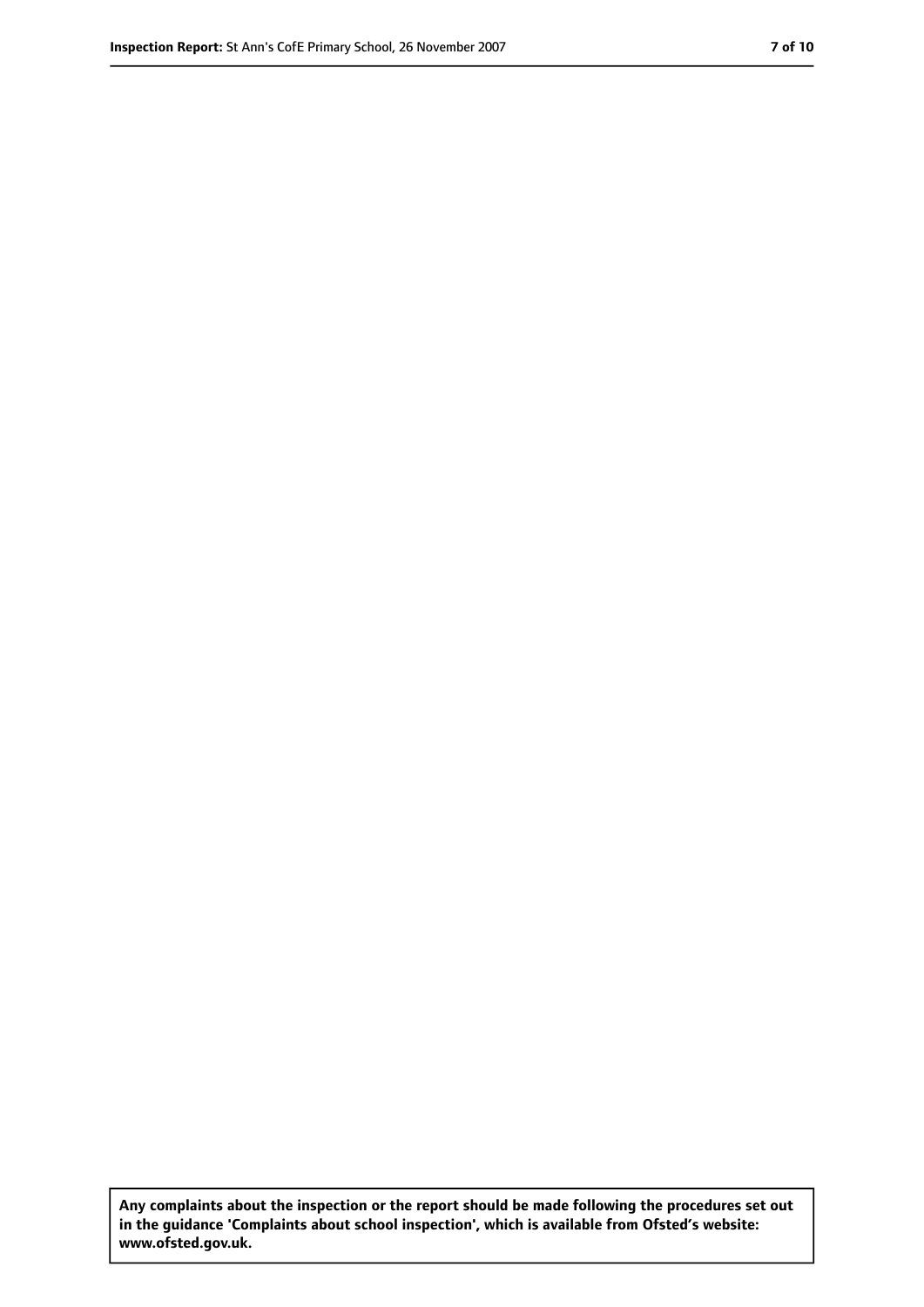**Any complaints about the inspection or the report should be made following the procedures set out in the guidance 'Complaints about school inspection', which is available from Ofsted's website: www.ofsted.gov.uk.**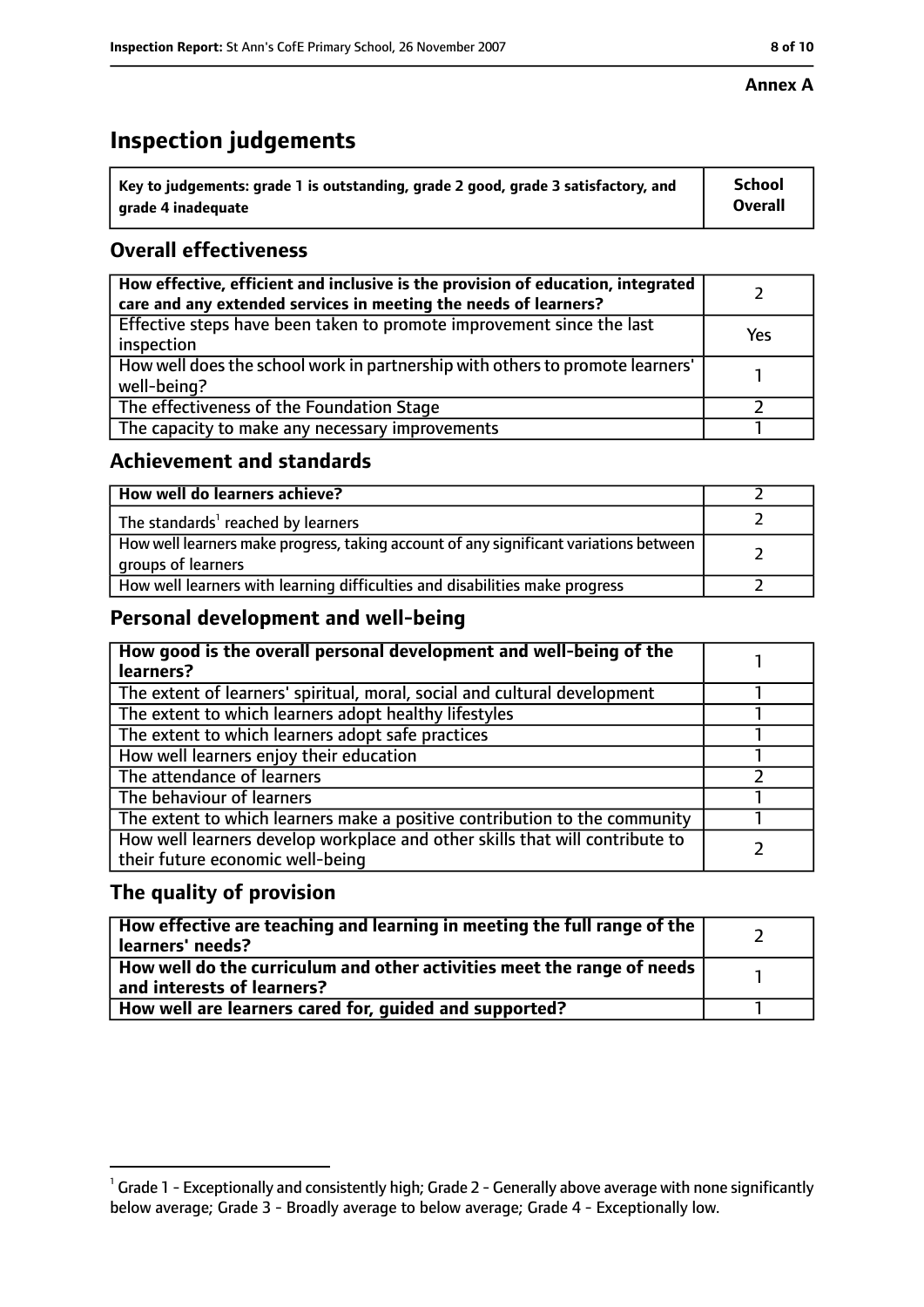# **Inspection judgements**

| $^{\backprime}$ Key to judgements: grade 1 is outstanding, grade 2 good, grade 3 satisfactory, and | <b>School</b>  |
|----------------------------------------------------------------------------------------------------|----------------|
| arade 4 inadeguate                                                                                 | <b>Overall</b> |

### **Overall effectiveness**

| How effective, efficient and inclusive is the provision of education, integrated<br>care and any extended services in meeting the needs of learners? |     |
|------------------------------------------------------------------------------------------------------------------------------------------------------|-----|
| Effective steps have been taken to promote improvement since the last<br>inspection                                                                  | Yes |
| How well does the school work in partnership with others to promote learners'<br>well-being?                                                         |     |
| The effectiveness of the Foundation Stage                                                                                                            |     |
| The capacity to make any necessary improvements                                                                                                      |     |

#### **Achievement and standards**

| How well do learners achieve?                                                                               |  |
|-------------------------------------------------------------------------------------------------------------|--|
| The standards <sup>1</sup> reached by learners                                                              |  |
| How well learners make progress, taking account of any significant variations between<br>groups of learners |  |
| How well learners with learning difficulties and disabilities make progress                                 |  |

#### **Personal development and well-being**

| How good is the overall personal development and well-being of the<br>learners?                                  |  |
|------------------------------------------------------------------------------------------------------------------|--|
| The extent of learners' spiritual, moral, social and cultural development                                        |  |
| The extent to which learners adopt healthy lifestyles                                                            |  |
| The extent to which learners adopt safe practices                                                                |  |
| How well learners enjoy their education                                                                          |  |
| The attendance of learners                                                                                       |  |
| The behaviour of learners                                                                                        |  |
| The extent to which learners make a positive contribution to the community                                       |  |
| How well learners develop workplace and other skills that will contribute to<br>their future economic well-being |  |

#### **The quality of provision**

| How effective are teaching and learning in meeting the full range of the<br>learners' needs?          |  |
|-------------------------------------------------------------------------------------------------------|--|
| How well do the curriculum and other activities meet the range of needs<br>and interests of learners? |  |
| How well are learners cared for, quided and supported?                                                |  |

 $^1$  Grade 1 - Exceptionally and consistently high; Grade 2 - Generally above average with none significantly below average; Grade 3 - Broadly average to below average; Grade 4 - Exceptionally low.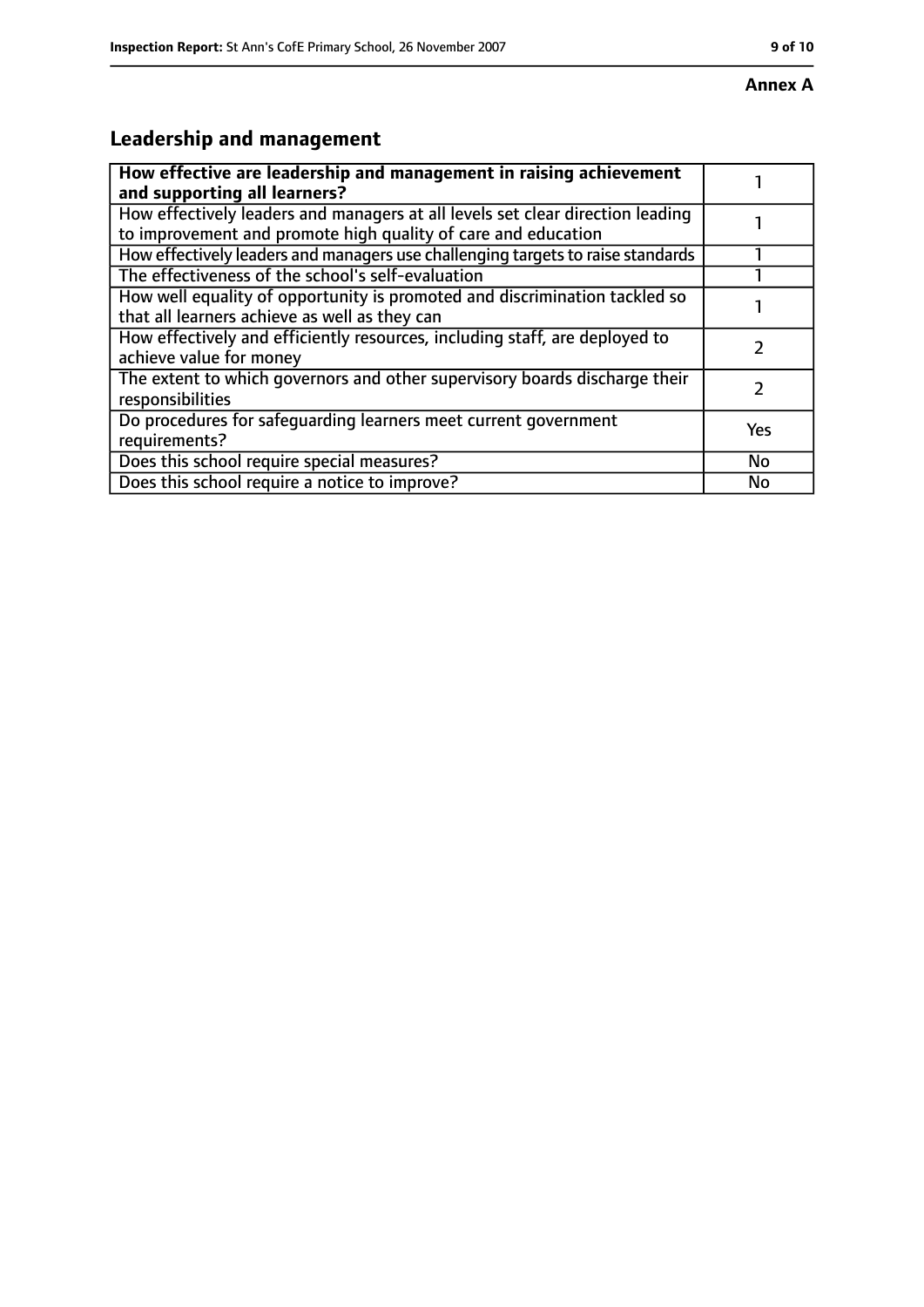## **Leadership and management**

| How effective are leadership and management in raising achievement<br>and supporting all learners?                                              |     |
|-------------------------------------------------------------------------------------------------------------------------------------------------|-----|
| How effectively leaders and managers at all levels set clear direction leading<br>to improvement and promote high quality of care and education |     |
| How effectively leaders and managers use challenging targets to raise standards                                                                 |     |
| The effectiveness of the school's self-evaluation                                                                                               |     |
| How well equality of opportunity is promoted and discrimination tackled so<br>that all learners achieve as well as they can                     |     |
| How effectively and efficiently resources, including staff, are deployed to<br>achieve value for money                                          |     |
| The extent to which governors and other supervisory boards discharge their<br>responsibilities                                                  |     |
| Do procedures for safequarding learners meet current government<br>requirements?                                                                | Yes |
| Does this school require special measures?                                                                                                      | No  |
| Does this school require a notice to improve?                                                                                                   | No  |